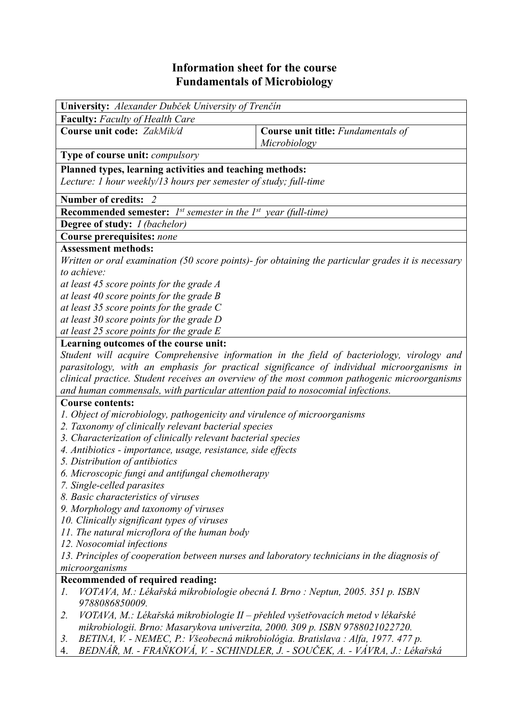## **Information sheet for the course Fundamentals of Microbiology**

| University: Alexander Dubček University of Trenčín                                                                                                                                                                                                                          |                                                    |  |  |  |  |  |
|-----------------------------------------------------------------------------------------------------------------------------------------------------------------------------------------------------------------------------------------------------------------------------|----------------------------------------------------|--|--|--|--|--|
| <b>Faculty:</b> Faculty of Health Care                                                                                                                                                                                                                                      |                                                    |  |  |  |  |  |
| Course unit code: ZakMik/d                                                                                                                                                                                                                                                  | Course unit title: Fundamentals of<br>Microbiology |  |  |  |  |  |
| <b>Type of course unit:</b> <i>compulsory</i>                                                                                                                                                                                                                               |                                                    |  |  |  |  |  |
| Planned types, learning activities and teaching methods:<br>Lecture: 1 hour weekly/13 hours per semester of study; full-time                                                                                                                                                |                                                    |  |  |  |  |  |
| Number of credits: 2                                                                                                                                                                                                                                                        |                                                    |  |  |  |  |  |
| <b>Recommended semester:</b> $I^{st}$ semester in the $I^{st}$ year (full-time)                                                                                                                                                                                             |                                                    |  |  |  |  |  |
| Degree of study: <i>I (bachelor)</i>                                                                                                                                                                                                                                        |                                                    |  |  |  |  |  |
| Course prerequisites: none                                                                                                                                                                                                                                                  |                                                    |  |  |  |  |  |
| <b>Assessment methods:</b>                                                                                                                                                                                                                                                  |                                                    |  |  |  |  |  |
| Written or oral examination (50 score points)- for obtaining the particular grades it is necessary                                                                                                                                                                          |                                                    |  |  |  |  |  |
| to achieve:                                                                                                                                                                                                                                                                 |                                                    |  |  |  |  |  |
| at least 45 score points for the grade A                                                                                                                                                                                                                                    |                                                    |  |  |  |  |  |
| at least 40 score points for the grade B                                                                                                                                                                                                                                    |                                                    |  |  |  |  |  |
| at least 35 score points for the grade $C$                                                                                                                                                                                                                                  |                                                    |  |  |  |  |  |
| at least 30 score points for the grade D<br>at least 25 score points for the grade E                                                                                                                                                                                        |                                                    |  |  |  |  |  |
| Learning outcomes of the course unit:                                                                                                                                                                                                                                       |                                                    |  |  |  |  |  |
| Student will acquire Comprehensive information in the field of bacteriology, virology and                                                                                                                                                                                   |                                                    |  |  |  |  |  |
| parasitology, with an emphasis for practical significance of individual microorganisms in<br>clinical practice. Student receives an overview of the most common pathogenic microorganisms<br>and human commensals, with particular attention paid to nosocomial infections. |                                                    |  |  |  |  |  |
| <b>Course contents:</b>                                                                                                                                                                                                                                                     |                                                    |  |  |  |  |  |
| 1. Object of microbiology, pathogenicity and virulence of microorganisms                                                                                                                                                                                                    |                                                    |  |  |  |  |  |
| 2. Taxonomy of clinically relevant bacterial species                                                                                                                                                                                                                        |                                                    |  |  |  |  |  |
| 3. Characterization of clinically relevant bacterial species                                                                                                                                                                                                                |                                                    |  |  |  |  |  |
| 4. Antibiotics - importance, usage, resistance, side effects                                                                                                                                                                                                                |                                                    |  |  |  |  |  |
| 5. Distribution of antibiotics                                                                                                                                                                                                                                              |                                                    |  |  |  |  |  |
| 6. Microscopic fungi and antifungal chemotherapy                                                                                                                                                                                                                            |                                                    |  |  |  |  |  |
| 7. Single-celled parasites                                                                                                                                                                                                                                                  |                                                    |  |  |  |  |  |
| 8. Basic characteristics of viruses                                                                                                                                                                                                                                         |                                                    |  |  |  |  |  |
| 9. Morphology and taxonomy of viruses                                                                                                                                                                                                                                       |                                                    |  |  |  |  |  |
| 10. Clinically significant types of viruses                                                                                                                                                                                                                                 |                                                    |  |  |  |  |  |
| 11. The natural microflora of the human body<br>12. Nosocomial infections                                                                                                                                                                                                   |                                                    |  |  |  |  |  |
| 13. Principles of cooperation between nurses and laboratory technicians in the diagnosis of                                                                                                                                                                                 |                                                    |  |  |  |  |  |
| microorganisms                                                                                                                                                                                                                                                              |                                                    |  |  |  |  |  |
| Recommended of required reading:                                                                                                                                                                                                                                            |                                                    |  |  |  |  |  |
| VOTAVA, M.: Lékařská mikrobiologie obecná I. Brno : Neptun, 2005. 351 p. ISBN<br>1.<br>9788086850009.                                                                                                                                                                       |                                                    |  |  |  |  |  |
| VOTAVA, M.: Lékařská mikrobiologie II – přehled vyšetřovacích metod v lékařské<br>2.                                                                                                                                                                                        |                                                    |  |  |  |  |  |
| mikrobiologii. Brno: Masarykova univerzita, 2000. 309 p. ISBN 9788021022720.                                                                                                                                                                                                |                                                    |  |  |  |  |  |
| BETINA, V. - NEMEC, P.: Všeobecná mikrobiológia. Bratislava : Alfa, 1977. 477 p.<br>3.                                                                                                                                                                                      |                                                    |  |  |  |  |  |
| BEDNÁŘ, M. - FRAŇKOVÁ, V. - SCHINDLER, J. - SOUČEK, A. - VÁVRA, J.: Lékařská<br>4.                                                                                                                                                                                          |                                                    |  |  |  |  |  |